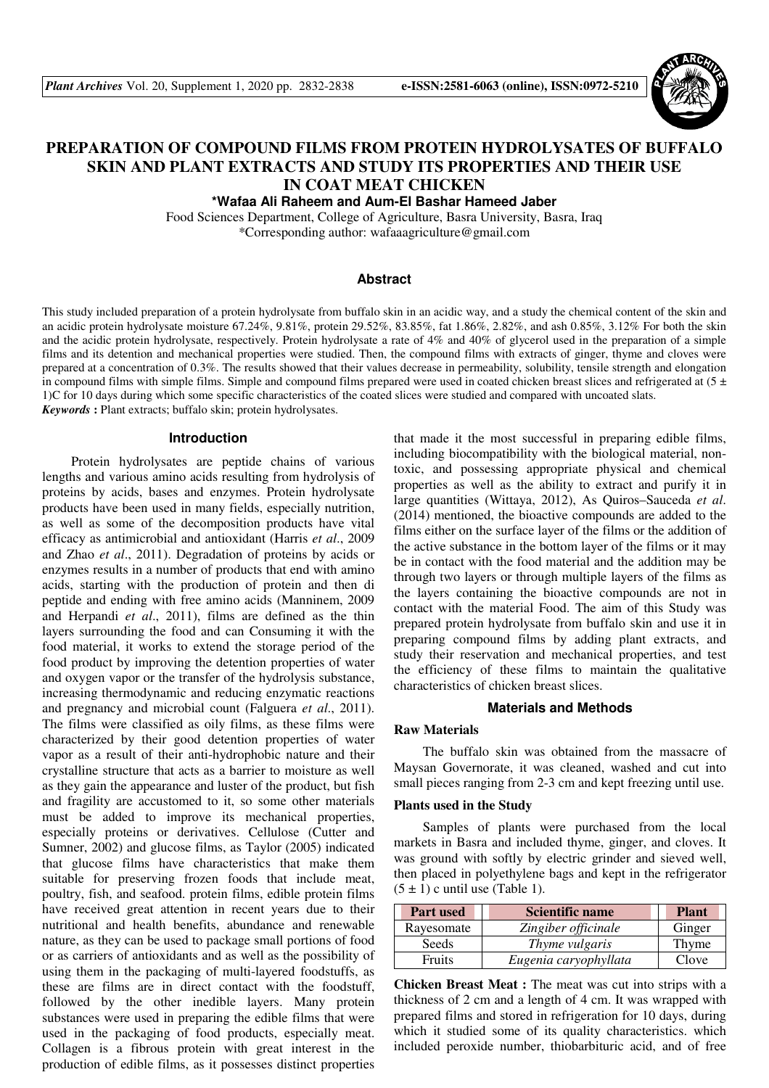

# **PREPARATION OF COMPOUND FILMS FROM PROTEIN HYDROLYSATES OF BUFFALO SKIN AND PLANT EXTRACTS AND STUDY ITS PROPERTIES AND THEIR USE IN COAT MEAT CHICKEN**

**\*Wafaa Ali Raheem and Aum-El Bashar Hameed Jaber** 

Food Sciences Department, College of Agriculture, Basra University, Basra, Iraq \*Corresponding author: wafaaagriculture@gmail.com

# **Abstract**

This study included preparation of a protein hydrolysate from buffalo skin in an acidic way, and a study the chemical content of the skin and an acidic protein hydrolysate moisture 67.24%, 9.81%, protein 29.52%, 83.85%, fat 1.86%, 2.82%, and ash 0.85%, 3.12% For both the skin and the acidic protein hydrolysate, respectively. Protein hydrolysate a rate of 4% and 40% of glycerol used in the preparation of a simple films and its detention and mechanical properties were studied. Then, the compound films with extracts of ginger, thyme and cloves were prepared at a concentration of 0.3%. The results showed that their values decrease in permeability, solubility, tensile strength and elongation in compound films with simple films. Simple and compound films prepared were used in coated chicken breast slices and refrigerated at  $(5 \pm 1)$ 1)C for 10 days during which some specific characteristics of the coated slices were studied and compared with uncoated slats. *Keywords* **:** Plant extracts; buffalo skin; protein hydrolysates.

#### **Introduction**

Protein hydrolysates are peptide chains of various lengths and various amino acids resulting from hydrolysis of proteins by acids, bases and enzymes. Protein hydrolysate products have been used in many fields, especially nutrition, as well as some of the decomposition products have vital efficacy as antimicrobial and antioxidant (Harris *et al*., 2009 and Zhao *et al*., 2011). Degradation of proteins by acids or enzymes results in a number of products that end with amino acids, starting with the production of protein and then di peptide and ending with free amino acids (Manninem, 2009 and Herpandi *et al*., 2011), films are defined as the thin layers surrounding the food and can Consuming it with the food material, it works to extend the storage period of the food product by improving the detention properties of water and oxygen vapor or the transfer of the hydrolysis substance, increasing thermodynamic and reducing enzymatic reactions and pregnancy and microbial count (Falguera *et al*., 2011). The films were classified as oily films, as these films were characterized by their good detention properties of water vapor as a result of their anti-hydrophobic nature and their crystalline structure that acts as a barrier to moisture as well as they gain the appearance and luster of the product, but fish and fragility are accustomed to it, so some other materials must be added to improve its mechanical properties, especially proteins or derivatives. Cellulose (Cutter and Sumner, 2002) and glucose films, as Taylor (2005) indicated that glucose films have characteristics that make them suitable for preserving frozen foods that include meat, poultry, fish, and seafood. protein films, edible protein films have received great attention in recent years due to their nutritional and health benefits, abundance and renewable nature, as they can be used to package small portions of food or as carriers of antioxidants and as well as the possibility of using them in the packaging of multi-layered foodstuffs, as these are films are in direct contact with the foodstuff, followed by the other inedible layers. Many protein substances were used in preparing the edible films that were used in the packaging of food products, especially meat. Collagen is a fibrous protein with great interest in the production of edible films, as it possesses distinct properties

that made it the most successful in preparing edible films, including biocompatibility with the biological material, nontoxic, and possessing appropriate physical and chemical properties as well as the ability to extract and purify it in large quantities (Wittaya, 2012), As Quiros–Sauceda *et al*. (2014) mentioned, the bioactive compounds are added to the films either on the surface layer of the films or the addition of the active substance in the bottom layer of the films or it may be in contact with the food material and the addition may be through two layers or through multiple layers of the films as the layers containing the bioactive compounds are not in contact with the material Food. The aim of this Study was prepared protein hydrolysate from buffalo skin and use it in preparing compound films by adding plant extracts, and study their reservation and mechanical properties, and test the efficiency of these films to maintain the qualitative characteristics of chicken breast slices.

# **Materials and Methods**

# **Raw Materials**

The buffalo skin was obtained from the massacre of Maysan Governorate, it was cleaned, washed and cut into small pieces ranging from 2-3 cm and kept freezing until use.

#### **Plants used in the Study**

Samples of plants were purchased from the local markets in Basra and included thyme, ginger, and cloves. It was ground with softly by electric grinder and sieved well, then placed in polyethylene bags and kept in the refrigerator  $(5 \pm 1)$  c until use (Table 1).

| <b>Part used</b> | Scientific name       | <b>Plant</b> |
|------------------|-----------------------|--------------|
| Rayesomate       | Zingiber officinale   | Ginger       |
| Seeds            | Thyme vulgaris        | Thyme        |
| <b>Fruits</b>    | Eugenia caryophyllata | Clove        |

**Chicken Breast Meat :** The meat was cut into strips with a thickness of 2 cm and a length of 4 cm. It was wrapped with prepared films and stored in refrigeration for 10 days, during which it studied some of its quality characteristics. which included peroxide number, thiobarbituric acid, and of free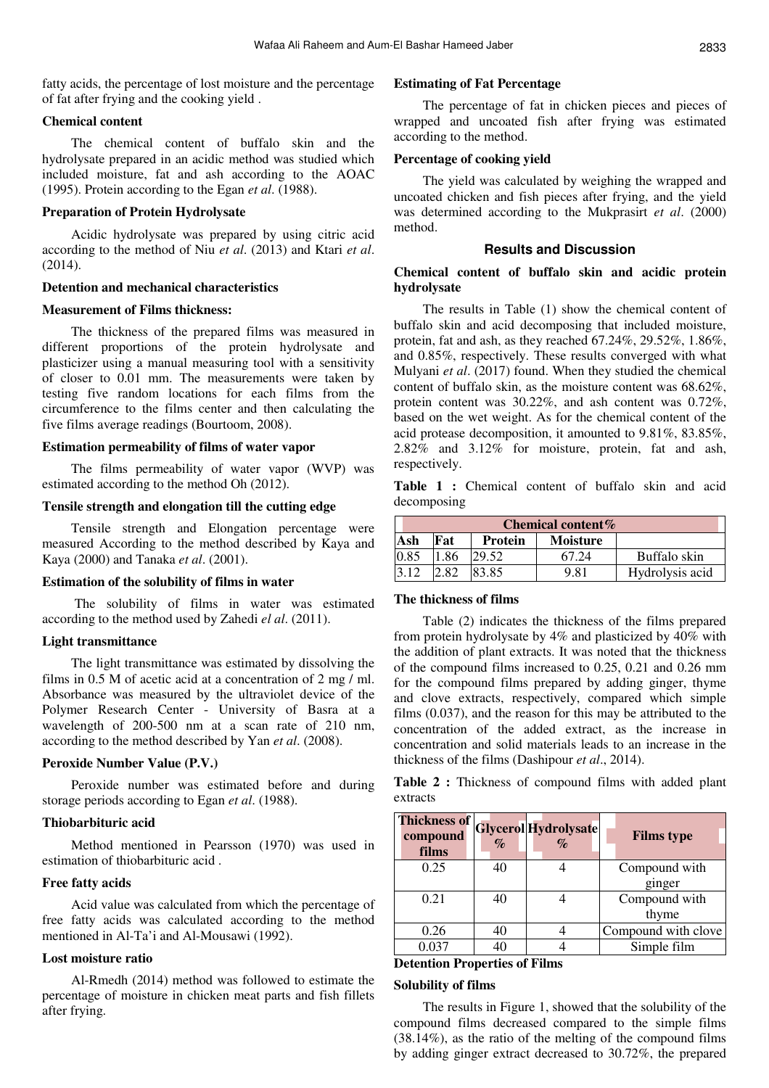fatty acids, the percentage of lost moisture and the percentage of fat after frying and the cooking yield .

### **Chemical content**

The chemical content of buffalo skin and the hydrolysate prepared in an acidic method was studied which included moisture, fat and ash according to the AOAC (1995). Protein according to the Egan *et al*. (1988).

#### **Preparation of Protein Hydrolysate**

Acidic hydrolysate was prepared by using citric acid according to the method of Niu *et al*. (2013) and Ktari *et al*. (2014).

### **Detention and mechanical characteristics**

# **Measurement of Films thickness:**

The thickness of the prepared films was measured in different proportions of the protein hydrolysate and plasticizer using a manual measuring tool with a sensitivity of closer to 0.01 mm. The measurements were taken by testing five random locations for each films from the circumference to the films center and then calculating the five films average readings (Bourtoom, 2008).

# **Estimation permeability of films of water vapor**

The films permeability of water vapor (WVP) was estimated according to the method Oh (2012).

#### **Tensile strength and elongation till the cutting edge**

Tensile strength and Elongation percentage were measured According to the method described by Kaya and Kaya (2000) and Tanaka *et al*. (2001).

#### **Estimation of the solubility of films in water**

 The solubility of films in water was estimated according to the method used by Zahedi *el al*. (2011).

## **Light transmittance**

The light transmittance was estimated by dissolving the films in 0.5 M of acetic acid at a concentration of 2 mg / ml. Absorbance was measured by the ultraviolet device of the Polymer Research Center - University of Basra at a wavelength of 200-500 nm at a scan rate of 210 nm, according to the method described by Yan *et al*. (2008).

#### **Peroxide Number Value (P.V.)**

Peroxide number was estimated before and during storage periods according to Egan *et al*. (1988).

#### **Thiobarbituric acid**

Method mentioned in Pearsson (1970) was used in estimation of thiobarbituric acid .

# **Free fatty acids**

Acid value was calculated from which the percentage of free fatty acids was calculated according to the method mentioned in Al-Ta'i and Al-Mousawi (1992).

# **Lost moisture ratio**

Al-Rmedh (2014) method was followed to estimate the percentage of moisture in chicken meat parts and fish fillets after frying.

# **Estimating of Fat Percentage**

The percentage of fat in chicken pieces and pieces of wrapped and uncoated fish after frying was estimated according to the method.

#### **Percentage of cooking yield**

The yield was calculated by weighing the wrapped and uncoated chicken and fish pieces after frying, and the yield was determined according to the Mukprasirt *et al*. (2000) method.

# **Results and Discussion**

# **Chemical content of buffalo skin and acidic protein hydrolysate**

The results in Table (1) show the chemical content of buffalo skin and acid decomposing that included moisture, protein, fat and ash, as they reached 67.24%, 29.52%, 1.86%, and 0.85%, respectively. These results converged with what Mulyani *et al*. (2017) found. When they studied the chemical content of buffalo skin, as the moisture content was 68.62%, protein content was 30.22%, and ash content was 0.72%, based on the wet weight. As for the chemical content of the acid protease decomposition, it amounted to 9.81%, 83.85%, 2.82% and 3.12% for moisture, protein, fat and ash, respectively.

**Table 1 :** Chemical content of buffalo skin and acid decomposing

| Chemical content $%$ |      |                |                 |                 |  |
|----------------------|------|----------------|-----------------|-----------------|--|
| Ash                  | Fat  | <b>Protein</b> | <b>Moisture</b> |                 |  |
| 0.85                 | 1.86 | 29.52          | 67.24           | Buffalo skin    |  |
| 3.12                 | .82  | 83.85          | 9.81            | Hydrolysis acid |  |

# **The thickness of films**

Table (2) indicates the thickness of the films prepared from protein hydrolysate by 4% and plasticized by 40% with the addition of plant extracts. It was noted that the thickness of the compound films increased to 0.25, 0.21 and 0.26 mm for the compound films prepared by adding ginger, thyme and clove extracts, respectively, compared which simple films (0.037), and the reason for this may be attributed to the concentration of the added extract, as the increase in concentration and solid materials leads to an increase in the thickness of the films (Dashipour *et al*., 2014).

**Table 2 :** Thickness of compound films with added plant extracts

| <b>Thickness of</b><br>compound<br>films | $\%$ | <b>Glycerol Hydrolysate</b> | <b>Films type</b>   |
|------------------------------------------|------|-----------------------------|---------------------|
| 0.25                                     | 40   |                             | Compound with       |
|                                          |      |                             | ginger              |
| 0.21                                     | 40   |                             | Compound with       |
|                                          |      |                             | thyme               |
| 0.26                                     |      |                             | Compound with clove |
|                                          |      |                             | Simple film         |

#### **Detention Properties of Films**

#### **Solubility of films**

The results in Figure 1, showed that the solubility of the compound films decreased compared to the simple films (38.14%), as the ratio of the melting of the compound films by adding ginger extract decreased to 30.72%, the prepared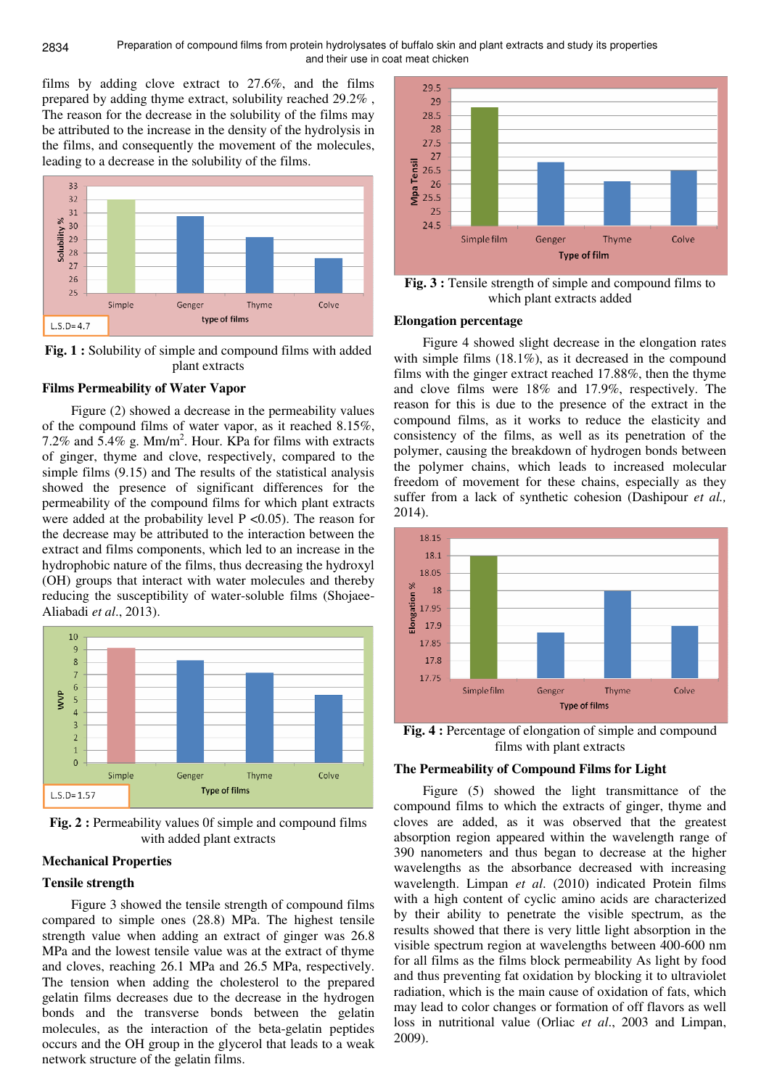films by adding clove extract to 27.6%, and the films prepared by adding thyme extract, solubility reached 29.2% , The reason for the decrease in the solubility of the films may be attributed to the increase in the density of the hydrolysis in the films, and consequently the movement of the molecules, leading to a decrease in the solubility of the films.



**Fig. 1 :** Solubility of simple and compound films with added plant extracts

# **Films Permeability of Water Vapor**

Figure (2) showed a decrease in the permeability values of the compound films of water vapor, as it reached 8.15%, 7.2% and  $5.4\%$  g. Mm/m<sup>2</sup>. Hour. KPa for films with extracts of ginger, thyme and clove, respectively, compared to the simple films (9.15) and The results of the statistical analysis showed the presence of significant differences for the permeability of the compound films for which plant extracts were added at the probability level  $P \le 0.05$ ). The reason for the decrease may be attributed to the interaction between the extract and films components, which led to an increase in the hydrophobic nature of the films, thus decreasing the hydroxyl (OH) groups that interact with water molecules and thereby reducing the susceptibility of water-soluble films (Shojaee-Aliabadi *et al*., 2013).



**Fig. 2 :** Permeability values 0f simple and compound films with added plant extracts

# **Mechanical Properties**

#### **Tensile strength**

Figure 3 showed the tensile strength of compound films compared to simple ones (28.8) MPa. The highest tensile strength value when adding an extract of ginger was 26.8 MPa and the lowest tensile value was at the extract of thyme and cloves, reaching 26.1 MPa and 26.5 MPa, respectively. The tension when adding the cholesterol to the prepared gelatin films decreases due to the decrease in the hydrogen bonds and the transverse bonds between the gelatin molecules, as the interaction of the beta-gelatin peptides occurs and the OH group in the glycerol that leads to a weak network structure of the gelatin films.



**Fig. 3 :** Tensile strength of simple and compound films to which plant extracts added

# **Elongation percentage**

Figure 4 showed slight decrease in the elongation rates with simple films  $(18.1\%)$ , as it decreased in the compound films with the ginger extract reached 17.88%, then the thyme and clove films were 18% and 17.9%, respectively. The reason for this is due to the presence of the extract in the compound films, as it works to reduce the elasticity and consistency of the films, as well as its penetration of the polymer, causing the breakdown of hydrogen bonds between the polymer chains, which leads to increased molecular freedom of movement for these chains, especially as they suffer from a lack of synthetic cohesion (Dashipour *et al.,* 2014).



**Fig. 4 :** Percentage of elongation of simple and compound films with plant extracts

# **The Permeability of Compound Films for Light**

Figure (5) showed the light transmittance of the compound films to which the extracts of ginger, thyme and cloves are added, as it was observed that the greatest absorption region appeared within the wavelength range of 390 nanometers and thus began to decrease at the higher wavelengths as the absorbance decreased with increasing wavelength. Limpan *et al*. (2010) indicated Protein films with a high content of cyclic amino acids are characterized by their ability to penetrate the visible spectrum, as the results showed that there is very little light absorption in the visible spectrum region at wavelengths between 400-600 nm for all films as the films block permeability As light by food and thus preventing fat oxidation by blocking it to ultraviolet radiation, which is the main cause of oxidation of fats, which may lead to color changes or formation of off flavors as well loss in nutritional value (Orliac *et al*., 2003 and Limpan, 2009).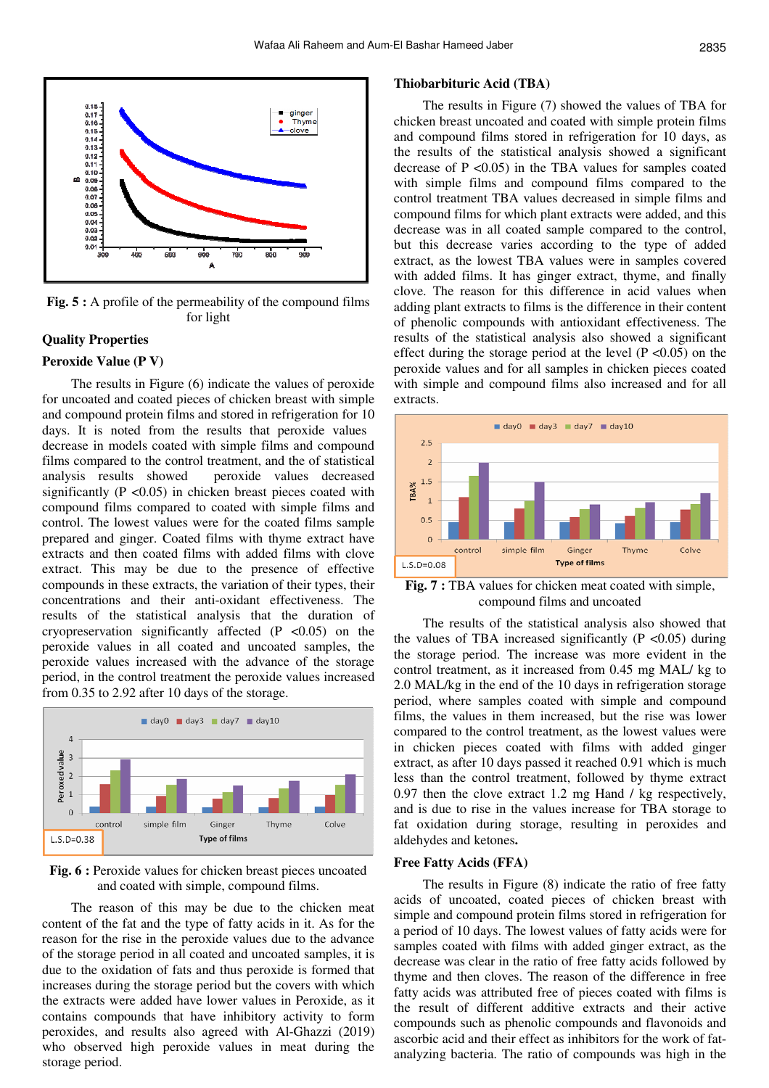

Fig. 5 : A profile of the permeability of the compound films for light

# **Quality Properties**

#### **Peroxide Value (P V)**

The results in Figure (6) indicate the values of peroxide for uncoated and coated pieces of chicken breast with simple and compound protein films and stored in refrigeration for 10 days. It is noted from the results that peroxide values decrease in models coated with simple films and compound films compared to the control treatment, and the of statistical analysis results showed peroxide values decreased significantly  $(P \le 0.05)$  in chicken breast pieces coated with compound films compared to coated with simple films and control. The lowest values were for the coated films sample prepared and ginger. Coated films with thyme extract have extracts and then coated films with added films with clove extract. This may be due to the presence of effective compounds in these extracts, the variation of their types, their concentrations and their anti-oxidant effectiveness. The results of the statistical analysis that the duration of cryopreservation significantly affected  $(P \le 0.05)$  on the peroxide values in all coated and uncoated samples, the peroxide values increased with the advance of the storage period, in the control treatment the peroxide values increased from 0.35 to 2.92 after 10 days of the storage.



**Fig. 6 :** Peroxide values for chicken breast pieces uncoated and coated with simple, compound films.

The reason of this may be due to the chicken meat content of the fat and the type of fatty acids in it. As for the reason for the rise in the peroxide values due to the advance of the storage period in all coated and uncoated samples, it is due to the oxidation of fats and thus peroxide is formed that increases during the storage period but the covers with which the extracts were added have lower values in Peroxide, as it contains compounds that have inhibitory activity to form peroxides, and results also agreed with Al-Ghazzi (2019) who observed high peroxide values in meat during the storage period.

#### **Thiobarbituric Acid (TBA)**

The results in Figure (7) showed the values of TBA for chicken breast uncoated and coated with simple protein films and compound films stored in refrigeration for 10 days, as the results of the statistical analysis showed a significant decrease of  $P \le 0.05$  in the TBA values for samples coated with simple films and compound films compared to the control treatment TBA values decreased in simple films and compound films for which plant extracts were added, and this decrease was in all coated sample compared to the control, but this decrease varies according to the type of added extract, as the lowest TBA values were in samples covered with added films. It has ginger extract, thyme, and finally clove. The reason for this difference in acid values when adding plant extracts to films is the difference in their content of phenolic compounds with antioxidant effectiveness. The results of the statistical analysis also showed a significant effect during the storage period at the level  $(P \le 0.05)$  on the peroxide values and for all samples in chicken pieces coated with simple and compound films also increased and for all extracts.



**Fig. 7 :** TBA values for chicken meat coated with simple, compound films and uncoated

The results of the statistical analysis also showed that the values of TBA increased significantly  $(P \le 0.05)$  during the storage period. The increase was more evident in the control treatment, as it increased from 0.45 mg MAL/ kg to 2.0 MAL/kg in the end of the 10 days in refrigeration storage period, where samples coated with simple and compound films, the values in them increased, but the rise was lower compared to the control treatment, as the lowest values were in chicken pieces coated with films with added ginger extract, as after 10 days passed it reached 0.91 which is much less than the control treatment, followed by thyme extract 0.97 then the clove extract 1.2 mg Hand / kg respectively, and is due to rise in the values increase for TBA storage to fat oxidation during storage, resulting in peroxides and aldehydes and ketones.

#### **Free Fatty Acids (FFA)**

The results in Figure (8) indicate the ratio of free fatty acids of uncoated, coated pieces of chicken breast with simple and compound protein films stored in refrigeration for a period of 10 days. The lowest values of fatty acids were for samples coated with films with added ginger extract, as the decrease was clear in the ratio of free fatty acids followed by thyme and then cloves. The reason of the difference in free fatty acids was attributed free of pieces coated with films is the result of different additive extracts and their active compounds such as phenolic compounds and flavonoids and ascorbic acid and their effect as inhibitors for the work of fatanalyzing bacteria. The ratio of compounds was high in the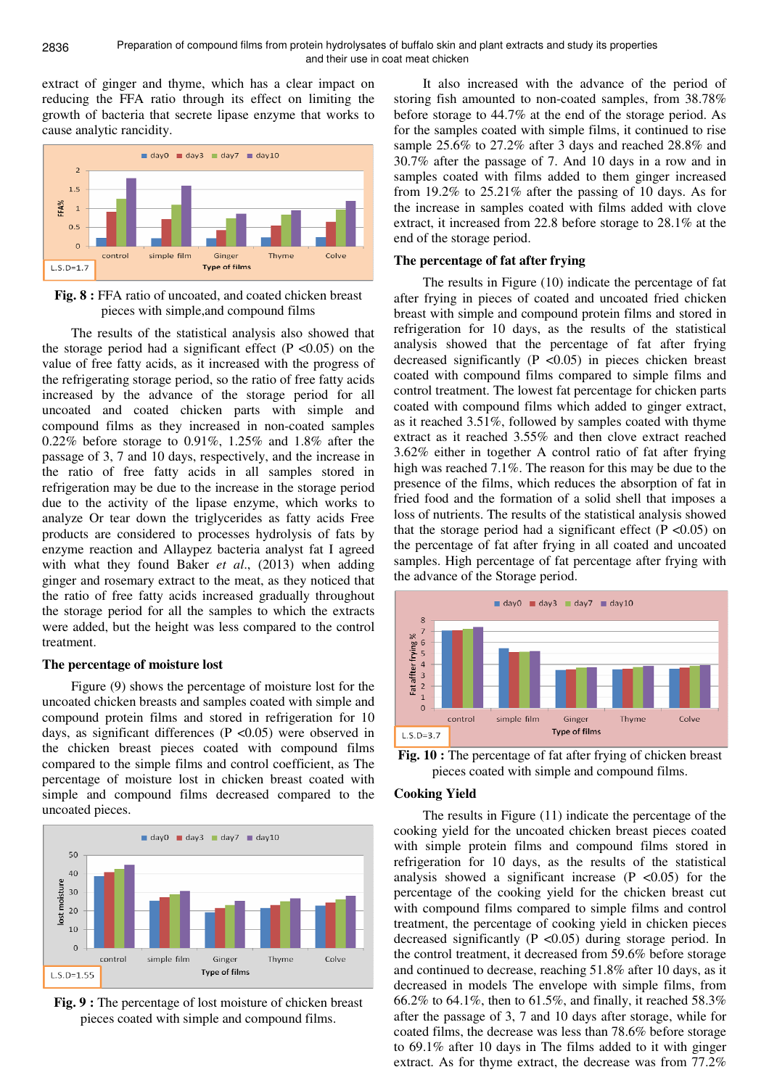extract of ginger and thyme, which has a clear impact on reducing the FFA ratio through its effect on limiting the growth of bacteria that secrete lipase enzyme that works to cause analytic rancidity.



**Fig. 8 :** FFA ratio of uncoated, and coated chicken breast pieces with simple,and compound films

The results of the statistical analysis also showed that the storage period had a significant effect ( $P < 0.05$ ) on the value of free fatty acids, as it increased with the progress of the refrigerating storage period, so the ratio of free fatty acids increased by the advance of the storage period for all uncoated and coated chicken parts with simple and compound films as they increased in non-coated samples 0.22% before storage to 0.91%, 1.25% and 1.8% after the passage of 3, 7 and 10 days, respectively, and the increase in the ratio of free fatty acids in all samples stored in refrigeration may be due to the increase in the storage period due to the activity of the lipase enzyme, which works to analyze Or tear down the triglycerides as fatty acids Free products are considered to processes hydrolysis of fats by enzyme reaction and Allaypez bacteria analyst fat I agreed with what they found Baker *et al*., (2013) when adding ginger and rosemary extract to the meat, as they noticed that the ratio of free fatty acids increased gradually throughout the storage period for all the samples to which the extracts were added, but the height was less compared to the control treatment.

# **The percentage of moisture lost**

Figure (9) shows the percentage of moisture lost for the uncoated chicken breasts and samples coated with simple and compound protein films and stored in refrigeration for 10 days, as significant differences ( $P \le 0.05$ ) were observed in the chicken breast pieces coated with compound films compared to the simple films and control coefficient, as The percentage of moisture lost in chicken breast coated with simple and compound films decreased compared to the uncoated pieces.



**Fig. 9 :** The percentage of lost moisture of chicken breast pieces coated with simple and compound films.

It also increased with the advance of the period of storing fish amounted to non-coated samples, from 38.78% before storage to 44.7% at the end of the storage period. As for the samples coated with simple films, it continued to rise sample 25.6% to 27.2% after 3 days and reached 28.8% and 30.7% after the passage of 7. And 10 days in a row and in samples coated with films added to them ginger increased from 19.2% to 25.21% after the passing of 10 days. As for the increase in samples coated with films added with clove extract, it increased from 22.8 before storage to 28.1% at the end of the storage period.

## **The percentage of fat after frying**

The results in Figure (10) indicate the percentage of fat after frying in pieces of coated and uncoated fried chicken breast with simple and compound protein films and stored in refrigeration for 10 days, as the results of the statistical analysis showed that the percentage of fat after frying decreased significantly (P <0.05) in pieces chicken breast coated with compound films compared to simple films and control treatment. The lowest fat percentage for chicken parts coated with compound films which added to ginger extract, as it reached 3.51%, followed by samples coated with thyme extract as it reached 3.55% and then clove extract reached 3.62% either in together A control ratio of fat after frying high was reached 7.1%. The reason for this may be due to the presence of the films, which reduces the absorption of fat in fried food and the formation of a solid shell that imposes a loss of nutrients. The results of the statistical analysis showed that the storage period had a significant effect  $(P < 0.05)$  on the percentage of fat after frying in all coated and uncoated samples. High percentage of fat percentage after frying with the advance of the Storage period.



**Fig. 10 :** The percentage of fat after frying of chicken breast pieces coated with simple and compound films.

#### **Cooking Yield**

The results in Figure (11) indicate the percentage of the cooking yield for the uncoated chicken breast pieces coated with simple protein films and compound films stored in refrigeration for 10 days, as the results of the statistical analysis showed a significant increase  $(P \lt 0.05)$  for the percentage of the cooking yield for the chicken breast cut with compound films compared to simple films and control treatment, the percentage of cooking yield in chicken pieces decreased significantly (P <0.05) during storage period. In the control treatment, it decreased from 59.6% before storage and continued to decrease, reaching 51.8% after 10 days, as it decreased in models The envelope with simple films, from 66.2% to 64.1%, then to 61.5%, and finally, it reached 58.3% after the passage of 3, 7 and 10 days after storage, while for coated films, the decrease was less than 78.6% before storage to 69.1% after 10 days in The films added to it with ginger extract. As for thyme extract, the decrease was from 77.2%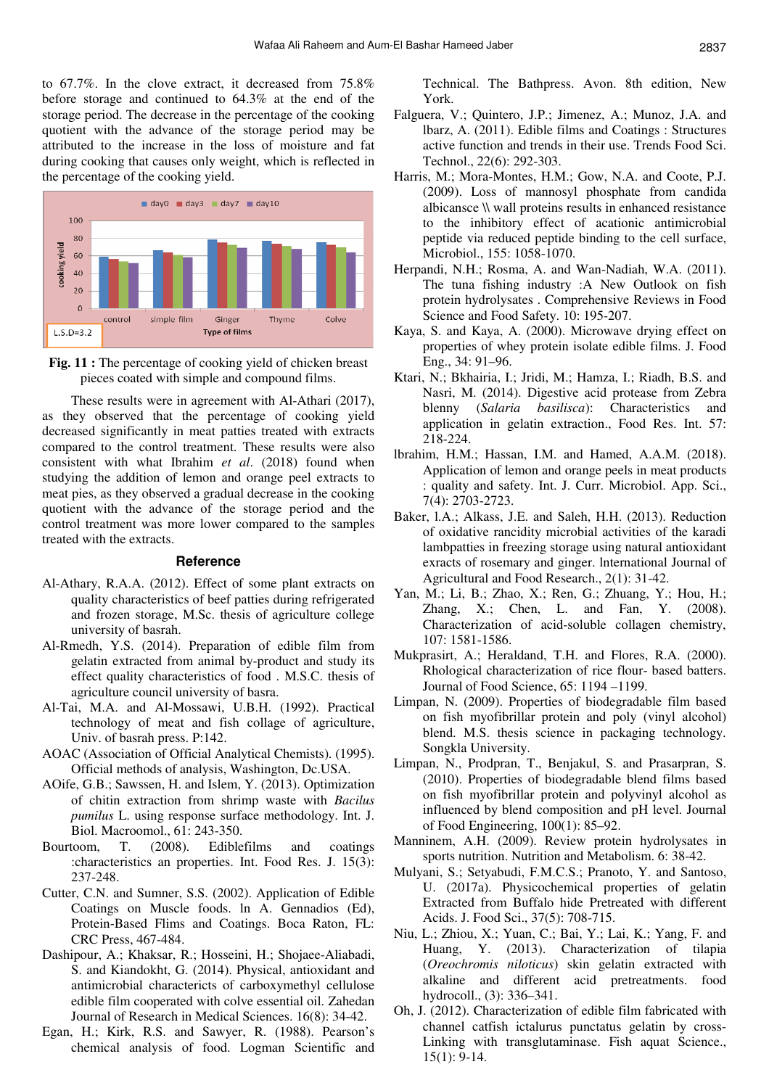to 67.7%. In the clove extract, it decreased from 75.8% before storage and continued to 64.3% at the end of the storage period. The decrease in the percentage of the cooking quotient with the advance of the storage period may be attributed to the increase in the loss of moisture and fat during cooking that causes only weight, which is reflected in the percentage of the cooking yield.





These results were in agreement with Al-Athari (2017), as they observed that the percentage of cooking yield decreased significantly in meat patties treated with extracts compared to the control treatment. These results were also consistent with what Ibrahim *et al*. (2018) found when studying the addition of lemon and orange peel extracts to meat pies, as they observed a gradual decrease in the cooking quotient with the advance of the storage period and the control treatment was more lower compared to the samples treated with the extracts.

#### **Reference**

- Al-Athary, R.A.A. (2012). Effect of some plant extracts on quality characteristics of beef patties during refrigerated and frozen storage, M.Sc. thesis of agriculture college university of basrah.
- Al-Rmedh, Y.S. (2014). Preparation of edible film from gelatin extracted from animal by-product and study its effect quality characteristics of food . M.S.C. thesis of agriculture council university of basra.
- Al-Tai, M.A. and Al-Mossawi, U.B.H. (1992). Practical technology of meat and fish collage of agriculture, Univ. of basrah press. P:142.
- AOAC (Association of Official Analytical Chemists). (1995). Official methods of analysis, Washington, Dc.USA.
- AOife, G.B.; Sawssen, H. and Islem, Y. (2013). Optimization of chitin extraction from shrimp waste with *Bacilus pumilus* L. using response surface methodology. Int. J. Biol. Macroomol., 61: 243-350.
- Bourtoom, T. (2008). Ediblefilms and coatings :characteristics an properties. Int. Food Res. J. 15(3): 237-248.
- Cutter, C.N. and Sumner, S.S. (2002). Application of Edible Coatings on Muscle foods. ln A. Gennadios (Ed), Protein-Based Flims and Coatings. Boca Raton, FL: CRC Press, 467-484.
- Dashipour, A.; Khaksar, R.; Hosseini, H.; Shojaee-Aliabadi, S. and Kiandokht, G. (2014). Physical, antioxidant and antimicrobial charactericts of carboxymethyl cellulose edible film cooperated with colve essential oil. Zahedan Journal of Research in Medical Sciences. 16(8): 34-42.
- Egan, H.; Kirk, R.S. and Sawyer, R. (1988). Pearson's chemical analysis of food. Logman Scientific and

Technical. The Bathpress. Avon. 8th edition, New York.

- Falguera, V.; Quintero, J.P.; Jimenez, A.; Munoz, J.A. and lbarz, A. (2011). Edible films and Coatings : Structures active function and trends in their use. Trends Food Sci. Technol., 22(6): 292-303.
- Harris, M.; Mora-Montes, H.M.; Gow, N.A. and Coote, P.J. (2009). Loss of mannosyl phosphate from candida albicansce \\ wall proteins results in enhanced resistance to the inhibitory effect of acationic antimicrobial peptide via reduced peptide binding to the cell surface, Microbiol., 155: 1058-1070.
- Herpandi, N.H.; Rosma, A. and Wan-Nadiah, W.A. (2011). The tuna fishing industry :A New Outlook on fish protein hydrolysates . Comprehensive Reviews in Food Science and Food Safety. 10: 195-207.
- Kaya, S. and Kaya, A. (2000). Microwave drying effect on properties of whey protein isolate edible films. J. Food Eng., 34: 91–96.
- Ktari, N.; Bkhairia, I.; Jridi, M.; Hamza, I.; Riadh, B.S. and Nasri, M. (2014). Digestive acid protease from Zebra blenny (*Salaria basilisca*): Characteristics and application in gelatin extraction., Food Res. Int. 57: 218-224.
- lbrahim, H.M.; Hassan, I.M. and Hamed, A.A.M. (2018). Application of lemon and orange peels in meat products : quality and safety. Int. J. Curr. Microbiol. App. Sci., 7(4): 2703-2723.
- Baker, l.A.; Alkass, J.E. and Saleh, H.H. (2013). Reduction of oxidative rancidity microbial activities of the karadi lambpatties in freezing storage using natural antioxidant exracts of rosemary and ginger. lnternational Journal of Agricultural and Food Research., 2(1): 31-42.
- Yan, M.; Li, B.; Zhao, X.; Ren, G.; Zhuang, Y.; Hou, H.; Zhang, X.; Chen, L. and Fan, Y. (2008). Characterization of acid-soluble collagen chemistry, 107: 1581-1586.
- Mukprasirt, A.; Heraldand, T.H. and Flores, R.A. (2000). Rhological characterization of rice flour- based batters. Journal of Food Science, 65: 1194 –1199.
- Limpan, N. (2009). Properties of biodegradable film based on fish myofibrillar protein and poly (vinyl alcohol) blend. M.S. thesis science in packaging technology. Songkla University.
- Limpan, N., Prodpran, T., Benjakul, S. and Prasarpran, S. (2010). Properties of biodegradable blend films based on fish myofibrillar protein and polyvinyl alcohol as influenced by blend composition and pH level. Journal of Food Engineering, 100(1): 85–92.
- Manninem, A.H. (2009). Review protein hydrolysates in sports nutrition. Nutrition and Metabolism. 6: 38-42.
- Mulyani, S.; Setyabudi, F.M.C.S.; Pranoto, Y. and Santoso, U. (2017a). Physicochemical properties of gelatin Extracted from Buffalo hide Pretreated with different Acids. J. Food Sci., 37(5): 708-715.
- Niu, L.; Zhiou, X.; Yuan, C.; Bai, Y.; Lai, K.; Yang, F. and Huang, Y. (2013). Characterization of tilapia (*Oreochromis niloticus*) skin gelatin extracted with alkaline and different acid pretreatments. food hydrocoll., (3): 336–341.
- Oh, J. (2012). Characterization of edible film fabricated with channel catfish ictalurus punctatus gelatin by cross-Linking with transglutaminase. Fish aquat Science., 15(1): 9-14.